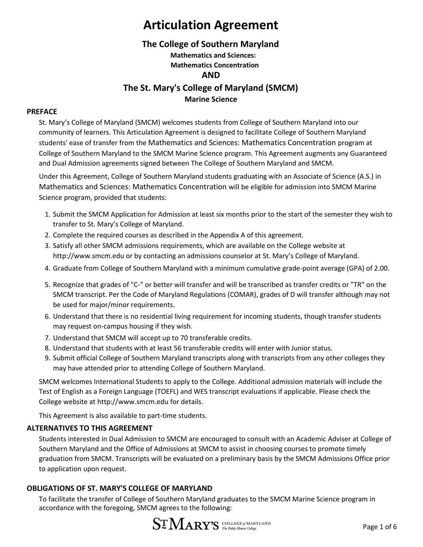### **The College of Southern Maryland**

**Mathematics and Sciences: Mathematics Concentration**

### **AND**

**The St. Mary's College of Maryland (SMCM)**

#### **Marine Science**

#### **PREFACE**

St. Mary's College of Maryland (SMCM) welcomes students from College of Southern Maryland into our community of learners. This Articulation Agreement is designed to facilitate College of Southern Maryland students' ease of transfer from the Mathematics and Sciences: Mathematics Concentration program at College of Southern Maryland to the SMCM Marine Science program. This Agreement augments any Guaranteed and Dual Admission agreements signed between The College of Southern Maryland and SMCM.

Under this Agreement, College of Southern Maryland students graduating with an Associate of Science (A.S.) in Mathematics and Sciences: Mathematics Concentration will be eligible for admission into SMCM Marine Science program, provided that students:

- 1. Submit the SMCM Application for Admission at least six months prior to the start of the semester they wish to transfer to St. Mary's College of Maryland.
- 2. Complete the required courses as described in the Appendix A of this agreement.
- 3. Satisfy all other SMCM admissions requirements, which are available on the College website at [http://www.smcm.edu](http://www.smcm.edu/) or by contacting an admissions counselor at St. Mary's College of Maryland.
- 4. Graduate from College of Southern Maryland with a minimum cumulative grade-point average (GPA) of 2.00.
- 5. Recognize that grades of "C-" or better will transfer and will be transcribed as transfer credits or "TR" on the SMCM transcript. Per the Code of Maryland Regulations (COMAR), grades of D will transfer although may not be used for major/minor requirements.
- 6. Understand that there is no residential living requirement for incoming students, though transfer students may request on-campus housing if they wish.
- 7. Understand that SMCM will accept up to 70 transferable credits.
- 8. Understand that students with at least 56 transferable credits will enter with Junior status.
- 9. Submit official College of Southern Maryland transcripts along with transcripts from any other colleges they may have attended prior to attending College of Southern Maryland.

SMCM welcomes International Students to apply to the College. Additional admission materials will include the Test of English as a Foreign Language (TOEFL) and WES transcript evaluations if applicable. Please check the College website at [http://www.smcm.edu f](http://www.smcm.edu/)or details.

This Agreement is also available to part-time students.

#### **ALTERNATIVES TO THIS AGREEMENT**

Students interested in Dual Admission to SMCM are encouraged to consult with an Academic Adviser at College of Southern Maryland and the Office of Admissions at SMCM to assist in choosing courses to promote timely graduation from SMCM. Transcripts will be evaluated on a preliminary basis by the SMCM Admissions Office prior to application upon request.

#### **OBLIGATIONS OF ST. MARY'S COLLEGE OF MARYLAND**

To facilitate the transfer of College of Southern Maryland graduates to the SMCM Marine Science program in accordance with the foregoing, SMCM agrees to the following:

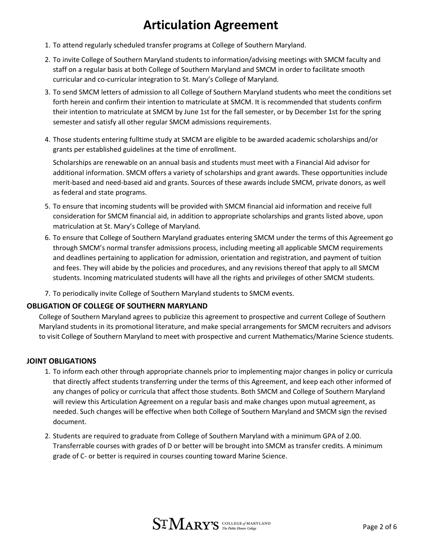- 1. To attend regularly scheduled transfer programs at College of Southern Maryland.
- 2. To invite College of Southern Maryland students to information/advising meetings with SMCM faculty and staff on a regular basis at both College of Southern Maryland and SMCM in order to facilitate smooth curricular and co-curricular integration to St. Mary's College of Maryland.
- 3. To send SMCM letters of admission to all College of Southern Maryland students who meet the conditions set forth herein and confirm their intention to matriculate at SMCM. It is recommended that students confirm their intention to matriculate at SMCM by June 1st for the fall semester, or by December 1st for the spring semester and satisfy all other regular SMCM admissions requirements.
- 4. Those students entering fulltime study at SMCM are eligible to be awarded academic scholarships and/or grants per established guidelines at the time of enrollment.

Scholarships are renewable on an annual basis and students must meet with a Financial Aid advisor for additional information. SMCM offers a variety of scholarships and grant awards. These opportunities include merit-based and need-based aid and grants. Sources of these awards include SMCM, private donors, as well as federal and state programs.

- 5. To ensure that incoming students will be provided with SMCM financial aid information and receive full consideration for SMCM financial aid, in addition to appropriate scholarships and grants listed above, upon matriculation at St. Mary's College of Maryland.
- 6. To ensure that College of Southern Maryland graduates entering SMCM under the terms of this Agreement go through SMCM's normal transfer admissions process, including meeting all applicable SMCM requirements and deadlines pertaining to application for admission, orientation and registration, and payment of tuition and fees. They will abide by the policies and procedures, and any revisions thereof that apply to all SMCM students. Incoming matriculated students will have all the rights and privileges of other SMCM students.
- 7. To periodically invite College of Southern Maryland students to SMCM events.

#### **OBLIGATION OF COLLEGE OF SOUTHERN MARYLAND**

College of Southern Maryland agrees to publicize this agreement to prospective and current College of Southern Maryland students in its promotional literature, and make special arrangements for SMCM recruiters and advisors to visit College of Southern Maryland to meet with prospective and current Mathematics/Marine Science students.

#### **JOINT OBLIGATIONS**

- 1. To inform each other through appropriate channels prior to implementing major changes in policy or curricula that directly affect students transferring under the terms of this Agreement, and keep each other informed of any changes of policy or curricula that affect those students. Both SMCM and College of Southern Maryland will review this Articulation Agreement on a regular basis and make changes upon mutual agreement, as needed. Such changes will be effective when both College of Southern Maryland and SMCM sign the revised document.
- 2. Students are required to graduate from College of Southern Maryland with a minimum GPA of 2.00. Transferrable courses with grades of D or better will be brought into SMCM as transfer credits. A minimum grade of C- or better is required in courses counting toward Marine Science.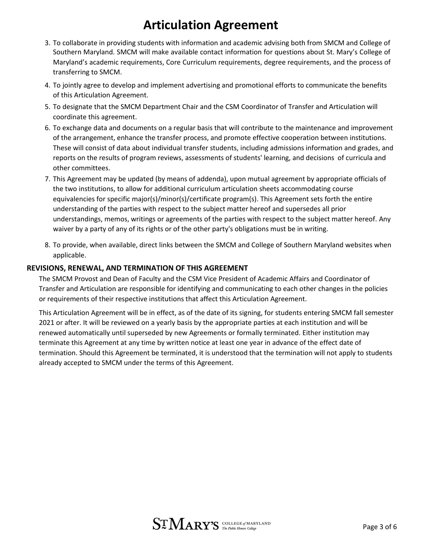- 3. To collaborate in providing students with information and academic advising both from SMCM and College of Southern Maryland. SMCM will make available contact information for questions about St. Mary's College of Maryland's academic requirements, Core Curriculum requirements, degree requirements, and the process of transferring to SMCM.
- 4. To jointly agree to develop and implement advertising and promotional efforts to communicate the benefits of this Articulation Agreement.
- 5. To designate that the SMCM Department Chair and the CSM Coordinator of Transfer and Articulation will coordinate this agreement.
- 6. To exchange data and documents on a regular basis that will contribute to the maintenance and improvement of the arrangement, enhance the transfer process, and promote effective cooperation between institutions. These will consist of data about individual transfer students, including admissions information and grades, and reports on the results of program reviews, assessments of students' learning, and decisions of curricula and other committees.
- 7. This Agreement may be updated (by means of addenda), upon mutual agreement by appropriate officials of the two institutions, to allow for additional curriculum articulation sheets accommodating course equivalencies for specific major(s)/minor(s)/certificate program(s). This Agreement sets forth the entire understanding of the parties with respect to the subject matter hereof and supersedes all prior understandings, memos, writings or agreements of the parties with respect to the subject matter hereof. Any waiver by a party of any of its rights or of the other party's obligations must be in writing.
- 8. To provide, when available, direct links between the SMCM and College of Southern Maryland websites when applicable.

#### **REVISIONS, RENEWAL, AND TERMINATION OF THIS AGREEMENT**

The SMCM Provost and Dean of Faculty and the CSM Vice President of Academic Affairs and Coordinator of Transfer and Articulation are responsible for identifying and communicating to each other changes in the policies or requirements of their respective institutions that affect this Articulation Agreement.

This Articulation Agreement will be in effect, as of the date of its signing, for students entering SMCM fall semester 2021 or after. It will be reviewed on a yearly basis by the appropriate parties at each institution and will be renewed automatically until superseded by new Agreements or formally terminated. Either institution may terminate this Agreement at any time by written notice at least one year in advance of the effect date of termination. Should this Agreement be terminated, it is understood that the termination will not apply to students already accepted to SMCM under the terms of this Agreement.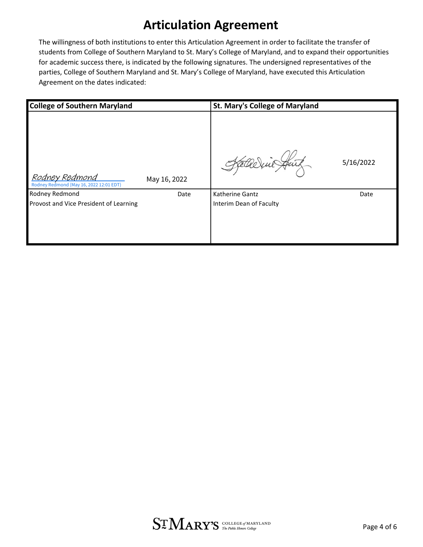The willingness of both institutions to enter this Articulation Agreement in order to facilitate the transfer of students from College of Southern Maryland to St. Mary's College of Maryland, and to expand their opportunities for academic success there, is indicated by the following signatures. The undersigned representatives of the parties, College of Southern Maryland and St. Mary's College of Maryland, have executed this Articulation Agreement on the dates indicated:

| <b>College of Southern Maryland</b>                       |              | <b>St. Mary's College of Maryland</b>      |           |
|-----------------------------------------------------------|--------------|--------------------------------------------|-----------|
| Rodney Redmond<br>Rodney Redmond (May 16, 2022 12:01 EDT) | May 16, 2022 |                                            | 5/16/2022 |
| Rodney Redmond<br>Provost and Vice President of Learning  | Date         | Katherine Gantz<br>Interim Dean of Faculty | Date      |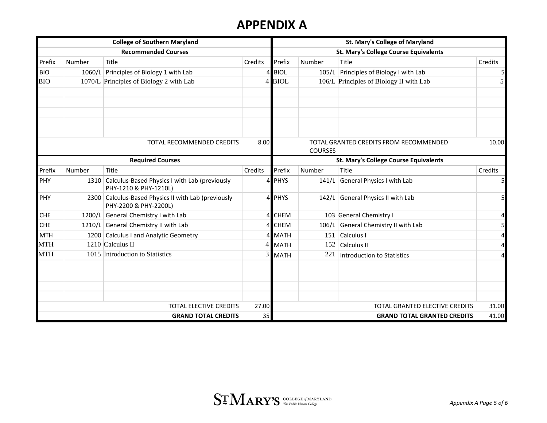### **APPENDIX A**

| <b>College of Southern Maryland</b>      |        |                                                                              | St. Mary's College of Maryland<br>St. Mary's College Course Equivalents |                                       |        |                                         |                |
|------------------------------------------|--------|------------------------------------------------------------------------------|-------------------------------------------------------------------------|---------------------------------------|--------|-----------------------------------------|----------------|
| <b>Recommended Courses</b>               |        |                                                                              |                                                                         |                                       |        |                                         |                |
| Prefix                                   | Number | Title                                                                        | Credits                                                                 | Prefix                                | Number | Title                                   | Credits        |
| <b>BIO</b>                               |        | 1060/L Principles of Biology 1 with Lab                                      | 4                                                                       | <b>BIOL</b>                           | 105/L  | Principles of Biology I with Lab        | 5              |
| <b>BIO</b>                               |        | 1070/L Principles of Biology 2 with Lab                                      |                                                                         | 4 BIOL                                |        | 106/L Principles of Biology II with Lab | 5              |
|                                          |        |                                                                              |                                                                         |                                       |        |                                         |                |
| <b>TOTAL RECOMMENDED CREDITS</b><br>8.00 |        |                                                                              | 10.00<br>TOTAL GRANTED CREDITS FROM RECOMMENDED<br><b>COURSES</b>       |                                       |        |                                         |                |
| <b>Required Courses</b>                  |        |                                                                              |                                                                         | St. Mary's College Course Equivalents |        |                                         |                |
| Prefix                                   | Number | Title                                                                        | Credits                                                                 | Prefix                                | Number | Title                                   | Credits        |
| PHY                                      |        | 1310 Calculus-Based Physics I with Lab (previously<br>PHY-1210 & PHY-1210L)  | $\Delta$                                                                | <b>PHYS</b>                           | 141/L  | <b>General Physics I with Lab</b>       | 5              |
| PHY                                      |        | 2300 Calculus-Based Physics II with Lab (previously<br>PHY-2200 & PHY-2200L) | $\mathbf{4}$                                                            | <b>PHYS</b>                           | 142/L  | General Physics II with Lab             | 5              |
| <b>CHE</b>                               |        | 1200/L General Chemistry I with Lab                                          | $\overline{4}$                                                          | <b>CHEM</b>                           |        | 103 General Chemistry I                 | 4              |
| <b>CHE</b>                               |        | 1210/L General Chemistry II with Lab                                         |                                                                         | <b>CHEM</b>                           | 106/L  | General Chemistry II with Lab           | 5              |
| <b>MTH</b>                               |        | 1200 Calculus I and Analytic Geometry                                        |                                                                         | <b>MATH</b>                           |        | 151 Calculus I                          | $\overline{4}$ |
| <b>MTH</b>                               |        | 1210 Calculus II                                                             | $\vert$ 4                                                               | <b>MATH</b>                           | 152    | Calculus II                             | $\overline{4}$ |
| <b>MTH</b>                               |        | 1015 Introduction to Statistics                                              | 3                                                                       | <b>MATH</b>                           | 221    | <b>Introduction to Statistics</b>       | 4              |
|                                          |        |                                                                              |                                                                         |                                       |        |                                         |                |
|                                          |        | TOTAL ELECTIVE CREDITS                                                       | 27.00                                                                   |                                       |        | TOTAL GRANTED ELECTIVE CREDITS          | 31.00          |
| 35<br><b>GRAND TOTAL CREDITS</b>         |        |                                                                              |                                                                         |                                       |        | <b>GRAND TOTAL GRANTED CREDITS</b>      | 41.00          |